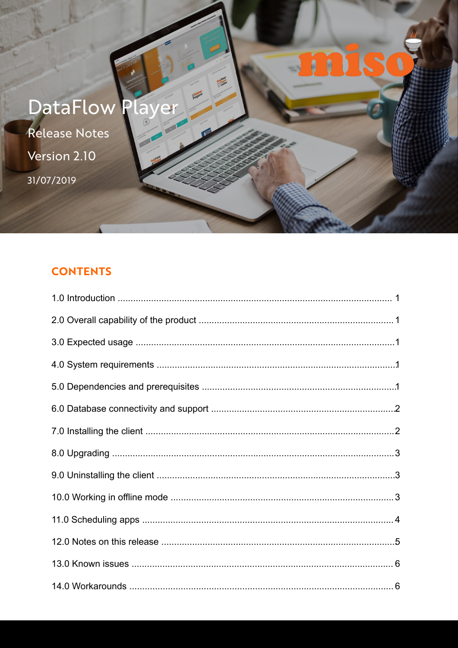

# **CONTENTS**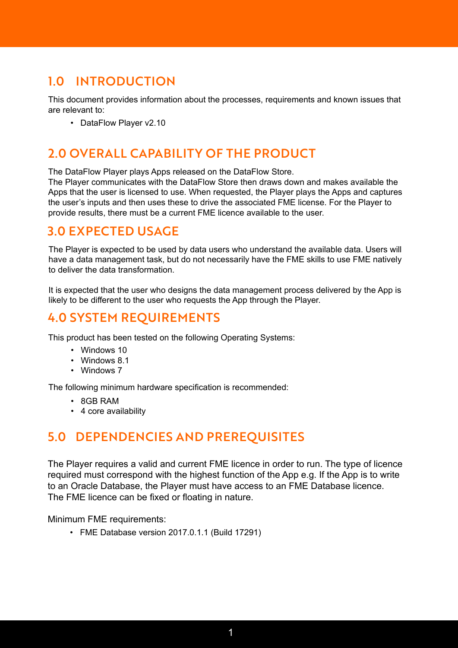# 1.0 INTRODUCTION

This document provides information about the processes, requirements and known issues that are relevant to:

• DataFlow Player v2.10

## 2.0 OVERALL CAPABILITY OF THE PRODUCT

The DataFlow Player plays Apps released on the DataFlow Store.

The Player communicates with the DataFlow Store then draws down and makes available the Apps that the user is licensed to use. When requested, the Player plays the Apps and captures the user's inputs and then uses these to drive the associated FME license. For the Player to provide results, there must be a current FME licence available to the user.

## 3.0 EXPECTED USAGE

The Player is expected to be used by data users who understand the available data. Users will have a data management task, but do not necessarily have the FME skills to use FME natively to deliver the data transformation.

It is expected that the user who designs the data management process delivered by the App is likely to be different to the user who requests the App through the Player.

## 4.0 SYSTEM REQUIREMENTS

This product has been tested on the following Operating Systems:

- Windows 10
- Windows 8.1
- Windows 7

The following minimum hardware specification is recommended:

- 8GB RAM
- 4 core availability

## 5.0 DEPENDENCIES AND PREREQUISITES

The Player requires a valid and current FME licence in order to run. The type of licence required must correspond with the highest function of the App e.g. If the App is to write to an Oracle Database, the Player must have access to an FME Database licence. The FME licence can be fixed or floating in nature.

Minimum FME requirements:

• FME Database version 2017.0.1.1 (Build 17291)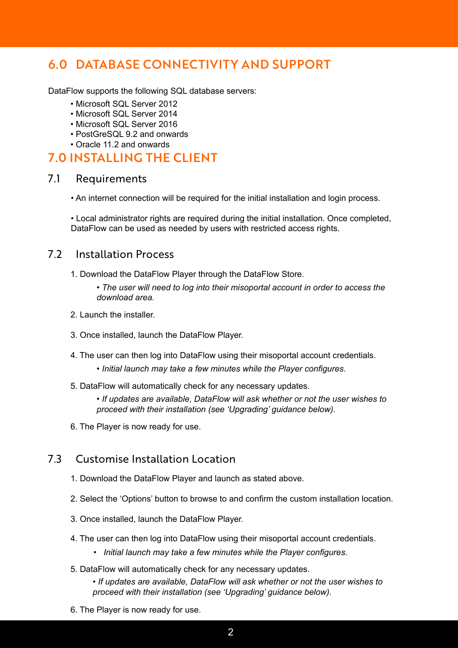## 6.0 DATABASE CONNECTIVITY AND SUPPORT

DataFlow supports the following SQL database servers:

- Microsoft SQL Server 2012
- Microsoft SQL Server 2014
- Microsoft SQL Server 2016
- PostGreSQL 9.2 and onwards
- Oracle 11.2 and onwards

## 7.0 INSTALLING THE CLIENT

#### 7.1 Requirements

• An internet connection will be required for the initial installation and login process.

• Local administrator rights are required during the initial installation. Once completed, DataFlow can be used as needed by users with restricted access rights.

#### 7.2 Installation Process

- 1. Download the DataFlow Player through the DataFlow Store.
	- *The user will need to log into their misoportal account in order to access the download area.*
- 2. Launch the installer.
- 3. Once installed, launch the DataFlow Player.
- 4. The user can then log into DataFlow using their misoportal account credentials.
	- *Initial launch may take a few minutes while the Player configures.*
- 5. DataFlow will automatically check for any necessary updates.
	- *If updates are available, DataFlow will ask whether or not the user wishes to proceed with their installation (see 'Upgrading' guidance below).*
- 6. The Player is now ready for use.

#### 7.3 Customise Installation Location

- 1. Download the DataFlow Player and launch as stated above.
- 2. Select the 'Options' button to browse to and confirm the custom installation location.
- 3. Once installed, launch the DataFlow Player.
- 4. The user can then log into DataFlow using their misoportal account credentials.
	- *Initial launch may take a few minutes while the Player configures.*
- 5. DataFlow will automatically check for any necessary updates.
	- *If updates are available, DataFlow will ask whether or not the user wishes to proceed with their installation (see 'Upgrading' guidance below).*
- 6. The Player is now ready for use.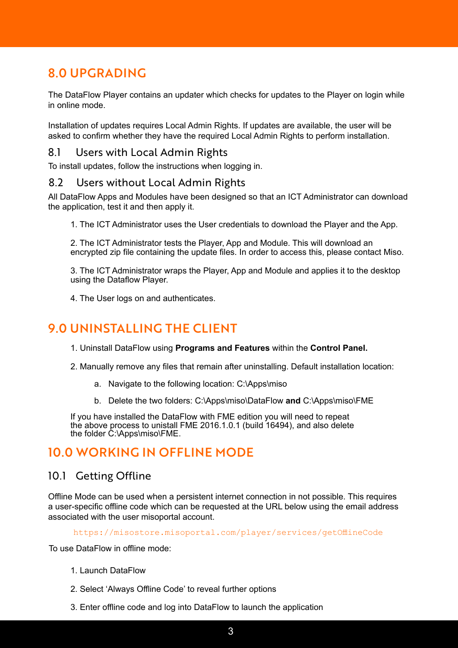# 8.0 UPGRADING

The DataFlow Player contains an updater which checks for updates to the Player on login while in online mode.

Installation of updates requires Local Admin Rights. If updates are available, the user will be asked to confirm whether they have the required Local Admin Rights to perform installation.

#### 8.1 Users with Local Admin Rights

To install updates, follow the instructions when logging in.

#### 8.2 Users without Local Admin Rights

All DataFlow Apps and Modules have been designed so that an ICT Administrator can download the application, test it and then apply it.

1. The ICT Administrator uses the User credentials to download the Player and the App.

2. The ICT Administrator tests the Player, App and Module. This will download an encrypted zip file containing the update files. In order to access this, please contact Miso.

3. The ICT Administrator wraps the Player, App and Module and applies it to the desktop using the Dataflow Player.

4. The User logs on and authenticates.

# 9.0 UNINSTALLING THE CLIENT

- 1. Uninstall DataFlow using **Programs and Features** within the **Control Panel.**
- 2. Manually remove any files that remain after uninstalling. Default installation location:
	- a. Navigate to the following location: C:\Apps\miso
	- b. Delete the two folders: C:\Apps\miso\DataFlow **and** C:\Apps\miso\FME

If you have installed the DataFlow with FME edition you will need to repeat the above process to unistall FME 2016.1.0.1 (build 16494), and also delete the folder C:\Apps\miso\FME.

## 10.0 WORKING IN OFFLINE MODE

#### 10.1 Getting Offline

Offline Mode can be used when a persistent internet connection in not possible. This requires a user-specific offline code which can be requested at the URL below using the email address associated with the user misoportal account.

https://misostore.misoportal.com/player/services/getOfflineCode

To use DataFlow in offline mode:

- 1. Launch DataFlow
- 2. Select 'Always Offline Code' to reveal further options
- 3. Enter offline code and log into DataFlow to launch the application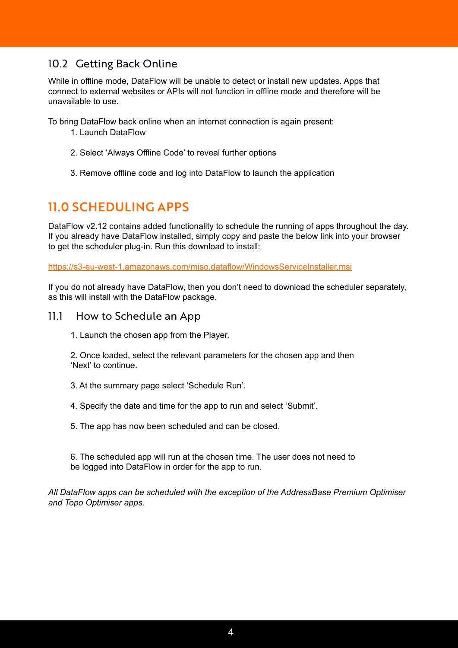## 10.2 Getting Back Online

While in offline mode, DataFlow will be unable to detect or install new updates. Apps that connect to external websites or APIs will not function in offline mode and therefore will be unavailable to use.

To bring DataFlow back online when an internet connection is again present:

- 1. Launch DataFlow
- 2. Select 'Always Offline Code' to reveal further options
- 3. Remove offline code and log into DataFlow to launch the application

# 11.0 SCHEDULING APPS

DataFlow v2.12 contains added functionality to schedule the running of apps throughout the day. If you already have DataFlow installed, simply copy and paste the below link into your browser to get the scheduler plug-in. Run this download to install:

https://s3-eu-west-1.amazonaws.com/miso.dataflow/WindowsServiceInstaller.msi

If you do not already have DataFlow, then you don't need to download the scheduler separately, as this will install with the DataFlow package.

#### 11.1 How to Schedule an App

1. Launch the chosen app from the Player.

2. Once loaded, select the relevant parameters for the chosen app and then 'Next' to continue.

3. At the summary page select 'Schedule Run'.

4. Specify the date and time for the app to run and select 'Submit'.

5. The app has now been scheduled and can be closed.

6. The scheduled app will run at the chosen time. The user does not need to be logged into DataFlow in order for the app to run.

*All DataFlow apps can be scheduled with the exception of the AddressBase Premium Optimiser and Topo Optimiser apps.*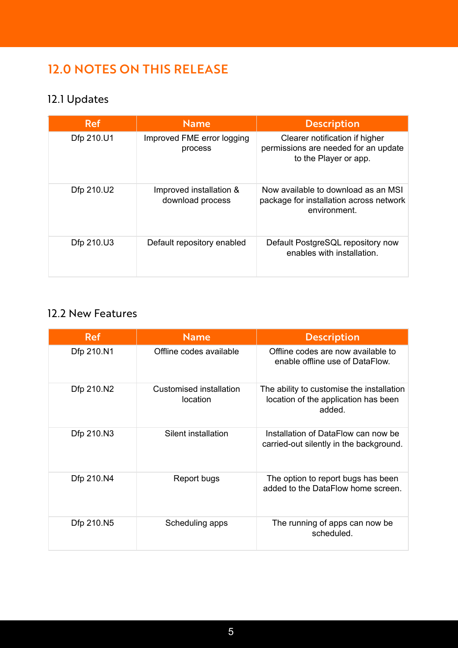# 12.0 NOTES ON THIS RELEASE

# 12.1 Updates

| <b>Ref</b> | <b>Name</b>                                 | <b>Description</b>                                                                              |
|------------|---------------------------------------------|-------------------------------------------------------------------------------------------------|
| Dfp 210.U1 | Improved FME error logging<br>process       | Clearer notification if higher<br>permissions are needed for an update<br>to the Player or app. |
| Dfp 210.U2 | Improved installation &<br>download process | Now available to download as an MSI<br>package for installation across network<br>environment.  |
| Dfp 210.U3 | Default repository enabled                  | Default PostgreSQL repository now<br>enables with installation.                                 |

## 12.2 New Features

| <b>Ref</b> | <b>Name</b>                         | <b>Description</b>                                                                          |
|------------|-------------------------------------|---------------------------------------------------------------------------------------------|
| Dfp 210.N1 | Offline codes available             | Offline codes are now available to<br>enable offline use of DataFlow.                       |
| Dfp 210.N2 | Customised installation<br>location | The ability to customise the installation<br>location of the application has been<br>added. |
| Dfp 210.N3 | Silent installation                 | Installation of DataFlow can now be<br>carried-out silently in the background.              |
| Dfp 210.N4 | Report bugs                         | The option to report bugs has been<br>added to the DataFlow home screen.                    |
| Dfp 210.N5 | Scheduling apps                     | The running of apps can now be<br>scheduled.                                                |